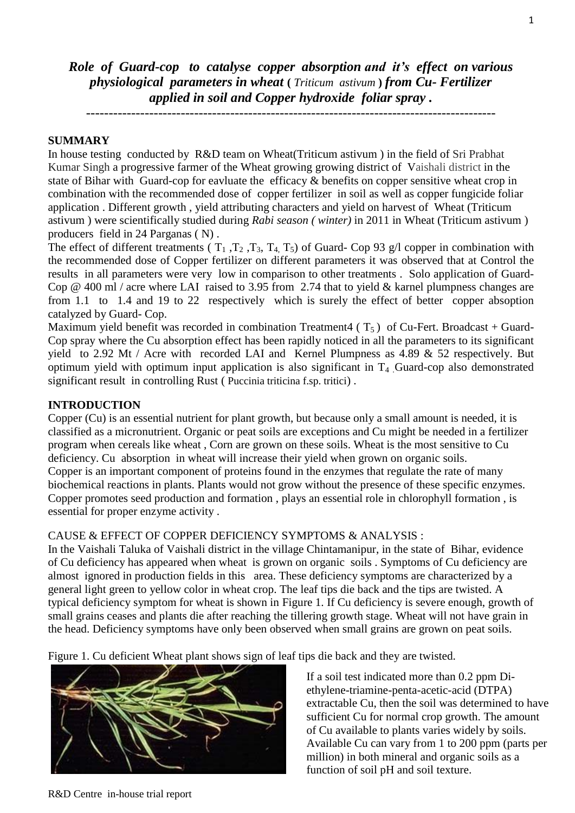*Role of Guard-cop to catalyse copper absorption and it's effect on various physiological parameters in wheat* **(** *Triticum astivum* **)** *from Cu- Fertilizer applied in soil and Copper hydroxide foliar spray .*

-------------------------------------------------------------------------------------------

## **SUMMARY**

In house testing conducted by R&D team on Wheat(Triticum astivum ) in the field of Sri Prabhat Kumar Singh a progressive farmer of the Wheat growing growing district of Vaishali district in the state of Bihar with Guard-cop for eavluate the efficacy & benefits on copper sensitive wheat crop in combination with the recommended dose of copper fertilizer in soil as well as copper fungicide foliar application . Different growth , yield attributing characters and yield on harvest of Wheat (Triticum astivum ) were scientifically studied during *Rabi season ( winter)* in 2011 in Wheat (Triticum astivum ) producers field in 24 Parganas ( N) .

The effect of different treatments ( $T_1$ ,  $T_2$ ,  $T_3$ ,  $T_4$ ,  $T_5$ ) of Guard- Cop 93 g/l copper in combination with the recommended dose of Copper fertilizer on different parameters it was observed that at Control the results in all parameters were very low in comparison to other treatments . Solo application of Guard-Cop @ 400 ml / acre where LAI raised to 3.95 from 2.74 that to yield & karnel plumpness changes are from 1.1 to 1.4 and 19 to 22 respectively which is surely the effect of better copper absoption catalyzed by Guard- Cop.

Maximum yield benefit was recorded in combination Treatment4 ( $T_5$ ) of Cu-Fert. Broadcast + Guard-Cop spray where the Cu absorption effect has been rapidly noticed in all the parameters to its significant yield to 2.92 Mt / Acre with recorded LAI and Kernel Plumpness as 4.89 & 52 respectively. But optimum yield with optimum input application is also significant in  $T_4$  Guard-cop also demonstrated significant result in controlling Rust (Puccinia triticina f.sp. tritici).

#### **INTRODUCTION**

Copper (Cu) is an essential nutrient for plant growth, but because only a small amount is needed, it is classified as a micronutrient. Organic or peat soils are exceptions and Cu might be needed in a fertilizer program when cereals like wheat , Corn are grown on these soils. Wheat is the most sensitive to Cu deficiency. Cu absorption in wheat will increase their yield when grown on organic soils. Copper is an important component of proteins found in the enzymes that regulate the rate of many biochemical reactions in plants. Plants would not grow without the presence of these specific enzymes. Copper promotes seed production and formation , plays an essential role in chlorophyll formation , is essential for proper enzyme activity .

### CAUSE & EFFECT OF COPPER DEFICIENCY SYMPTOMS & ANALYSIS :

In the Vaishali Taluka of Vaishali district in the village Chintamanipur, in the state of Bihar, evidence of Cu deficiency has appeared when wheat is grown on organic soils . Symptoms of Cu deficiency are almost ignored in production fields in this area. These deficiency symptoms are characterized by a general light green to yellow color in wheat crop. The leaf tips die back and the tips are twisted. A typical deficiency symptom for wheat is shown in Figure 1. If Cu deficiency is severe enough, growth of small grains ceases and plants die after reaching the tillering growth stage. Wheat will not have grain in the head. Deficiency symptoms have only been observed when small grains are grown on peat soils.

Figure 1. Cu deficient Wheat plant shows sign of leaf tips die back and they are twisted.



If a soil test indicated more than 0.2 ppm Diethylene-triamine-penta-acetic-acid (DTPA) extractable Cu, then the soil was determined to have sufficient Cu for normal crop growth. The amount of Cu available to plants varies widely by soils. Available Cu can vary from 1 to 200 ppm (parts per million) in both mineral and organic soils as a function of soil pH and soil texture.

### R&D Centre in-house trial report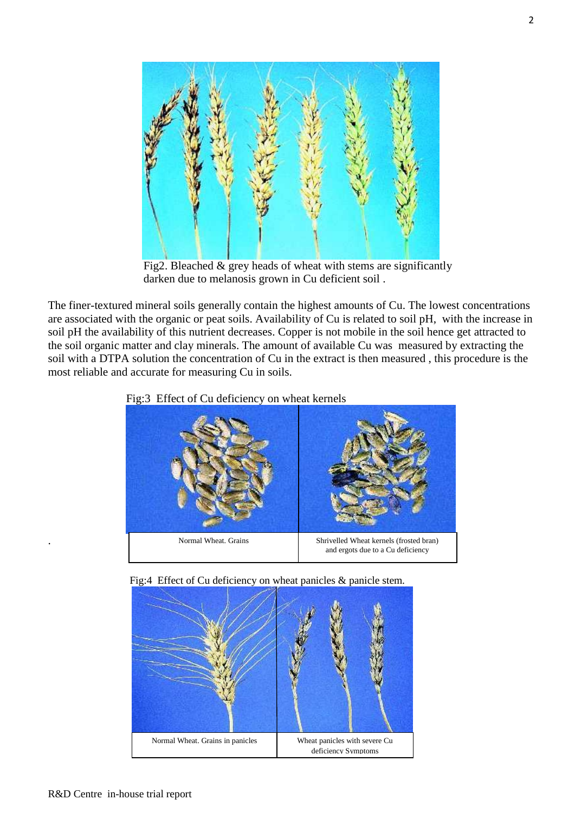

 Fig2. Bleached & grey heads of wheat with stems are significantly darken due to melanosis grown in Cu deficient soil .

The finer-textured mineral soils generally contain the highest amounts of Cu. The lowest concentrations are associated with the organic or peat soils. Availability of Cu is related to soil pH, with the increase in soil pH the availability of this nutrient decreases. Copper is not mobile in the soil hence get attracted to the soil organic matter and clay minerals. The amount of available Cu was measured by extracting the soil with a DTPA solution the concentration of Cu in the extract is then measured , this procedure is the most reliable and accurate for measuring Cu in soils.

# Fig:3 Effect of Cu deficiency on wheat kernels







.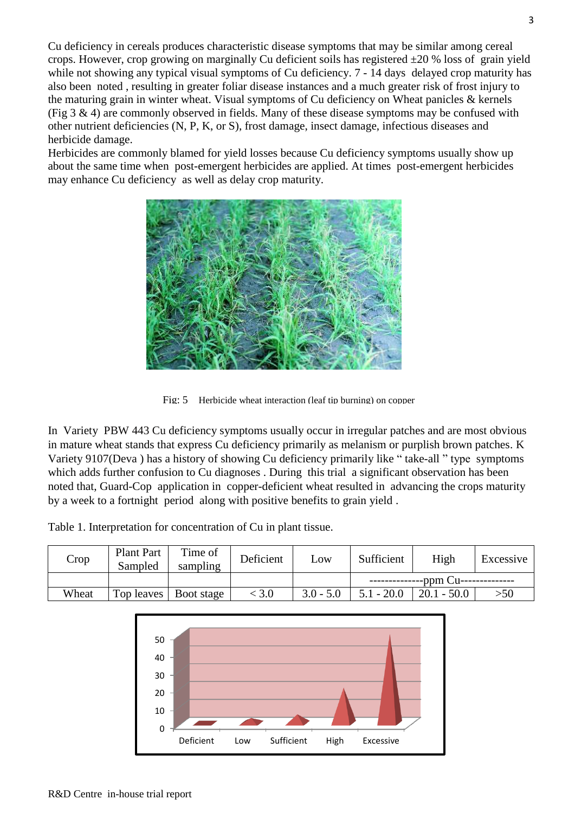Cu deficiency in cereals produces characteristic disease symptoms that may be similar among cereal crops. However, crop growing on marginally Cu deficient soils has registered  $\pm 20$  % loss of grain yield while not showing any typical visual symptoms of Cu deficiency. 7 - 14 days delayed crop maturity has also been noted , resulting in greater foliar disease instances and a much greater risk of frost injury to the maturing grain in winter wheat. Visual symptoms of Cu deficiency on Wheat panicles  $\&$  kernels (Fig 3  $\&$  4) are commonly observed in fields. Many of these disease symptoms may be confused with other nutrient deficiencies (N, P, K, or S), frost damage, insect damage, infectious diseases and herbicide damage.

Herbicides are commonly blamed for yield losses because Cu deficiency symptoms usually show up about the same time when post-emergent herbicides are applied. At times post-emergent herbicides may enhance Cu deficiency as well as delay crop maturity.



Fig: 5 Herbicide wheat interaction (leaf tip burning) on copper

In Variety PBW 443 Cu deficiency symptoms usually occur in irregular patches and are most obvious in mature wheat stands that express Cu deficiency primarily as melanism or purplish brown patches. K Variety 9107(Deva ) has a history of showing Cu deficiency primarily like " take-all " type symptoms which adds further confusion to Cu diagnoses . During this trial a significant observation has been noted that, Guard-Cop application in copper-deficient wheat resulted in advancing the crops maturity by a week to a fortnight period along with positive benefits to grain yield .

Table 1. Interpretation for concentration of Cu in plant tissue.

| Crop  | <b>Plant Part</b><br>Sampled | Time of<br>sampling     | Deficient | Low         | Sufficient<br>High |               | Excessive |  |
|-------|------------------------------|-------------------------|-----------|-------------|--------------------|---------------|-----------|--|
|       |                              |                         |           |             | -ppm $Cu$ ---      |               |           |  |
| Wheat |                              | Top leaves   Boot stage | < 3.0     | $3.0 - 5.0$ | $5.1 - 20.0$       | $20.1 - 50.0$ | >50       |  |

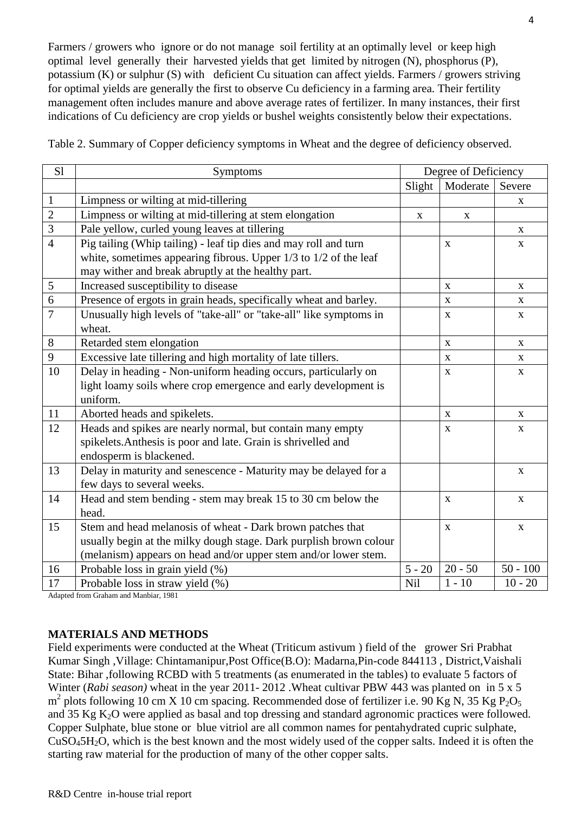Farmers / growers who ignore or do not manage soil fertility at an optimally level or keep high optimal level generally their harvested yields that get limited by nitrogen (N), phosphorus (P), potassium (K) or sulphur (S) with deficient Cu situation can affect yields. Farmers / growers striving for optimal yields are generally the first to observe Cu deficiency in a farming area. Their fertility management often includes manure and above average rates of fertilizer. In many instances, their first indications of Cu deficiency are crop yields or bushel weights consistently below their expectations.

| S1             | Symptoms                                                             |             | Degree of Deficiency |                           |  |
|----------------|----------------------------------------------------------------------|-------------|----------------------|---------------------------|--|
|                |                                                                      | Slight      | Moderate             | Severe                    |  |
| $\mathbf{1}$   | Limpness or wilting at mid-tillering                                 |             |                      | X                         |  |
| $\overline{2}$ | Limpness or wilting at mid-tillering at stem elongation              | $\mathbf X$ | $\mathbf X$          |                           |  |
| $\overline{3}$ | Pale yellow, curled young leaves at tillering                        |             |                      | $\boldsymbol{\mathrm{X}}$ |  |
| $\overline{4}$ | Pig tailing (Whip tailing) - leaf tip dies and may roll and turn     |             | $\mathbf{X}$         | $\mathbf{X}$              |  |
|                | white, sometimes appearing fibrous. Upper $1/3$ to $1/2$ of the leaf |             |                      |                           |  |
|                | may wither and break abruptly at the healthy part.                   |             |                      |                           |  |
| $\sqrt{5}$     | Increased susceptibility to disease                                  |             | $\mathbf{X}$         | $\mathbf{X}$              |  |
| $\overline{6}$ | Presence of ergots in grain heads, specifically wheat and barley.    |             | $\mathbf{X}$         | $\mathbf{X}$              |  |
| $\overline{7}$ | Unusually high levels of "take-all" or "take-all" like symptoms in   |             | $\mathbf X$          | $\mathbf{X}$              |  |
|                | wheat.                                                               |             |                      |                           |  |
| $8\,$          | Retarded stem elongation                                             |             | $\mathbf X$          | $\boldsymbol{\mathrm{X}}$ |  |
| 9              | Excessive late tillering and high mortality of late tillers.         |             | $\mathbf{X}$         | X                         |  |
| 10             | Delay in heading - Non-uniform heading occurs, particularly on       |             | $\mathbf X$          | $\boldsymbol{\mathrm{X}}$ |  |
|                | light loamy soils where crop emergence and early development is      |             |                      |                           |  |
|                | uniform.                                                             |             |                      |                           |  |
| 11             | Aborted heads and spikelets.                                         |             | $\mathbf X$          | $\boldsymbol{\mathrm{X}}$ |  |
| 12             | Heads and spikes are nearly normal, but contain many empty           |             | X                    | X                         |  |
|                | spikelets. Anthesis is poor and late. Grain is shrivelled and        |             |                      |                           |  |
|                | endosperm is blackened.                                              |             |                      |                           |  |
| 13             | Delay in maturity and senescence - Maturity may be delayed for a     |             |                      | $\mathbf{X}$              |  |
|                | few days to several weeks.                                           |             |                      |                           |  |
| 14             | Head and stem bending - stem may break 15 to 30 cm below the         |             | $\mathbf X$          | $\mathbf{X}$              |  |
|                | head.                                                                |             |                      |                           |  |
| 15             | Stem and head melanosis of wheat - Dark brown patches that           |             | $\mathbf X$          | $\mathbf X$               |  |
|                | usually begin at the milky dough stage. Dark purplish brown colour   |             |                      |                           |  |
|                | (melanism) appears on head and/or upper stem and/or lower stem.      |             |                      |                           |  |
| 16             | Probable loss in grain yield (%)                                     | $5 - 20$    | $20 - 50$            | $50 - 100$                |  |
| 17             | Probable loss in straw yield (%)                                     | Nil         | $1 - 10$             | $10 - 20$                 |  |

Table 2. Summary of Copper deficiency symptoms in Wheat and the degree of deficiency observed.

Adapted from Graham and Manbiar, 1981

## **MATERIALS AND METHODS**

Field experiments were conducted at the Wheat (Triticum astivum ) field of the grower Sri Prabhat Kumar Singh ,Village: Chintamanipur,Post Office(B.O): Madarna,Pin-code 844113 , District,Vaishali State: Bihar ,following RCBD with 5 treatments (as enumerated in the tables) to evaluate 5 factors of Winter (*Rabi season)* wheat in the year 2011- 2012 .Wheat cultivar PBW 443 was planted on in 5 x 5  $m^2$  plots following 10 cm X 10 cm spacing. Recommended dose of fertilizer i.e. 90 Kg N, 35 Kg P<sub>2</sub>O<sub>5</sub> and 35 Kg K2O were applied as basal and top dressing and standard agronomic practices were followed. Copper Sulphate, blue stone or blue vitriol are all common names for pentahydrated cupric sulphate, CuSO45H2O, which is the best known and the most widely used of the copper salts. Indeed it is often the starting raw material for the production of many of the other copper salts.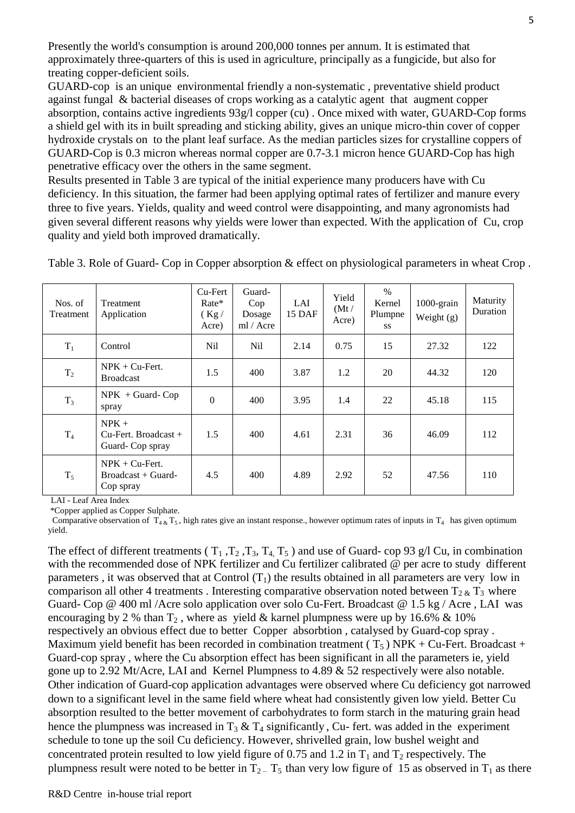Presently the world's consumption is around 200,000 tonnes per annum. It is estimated that approximately three-quarters of this is used in agriculture, principally as a fungicide, but also for treating copper-deficient soils.

GUARD-cop is an unique environmental friendly a non-systematic , preventative shield product against fungal & bacterial diseases of crops working as a catalytic agent that augment copper absorption, contains active ingredients 93g/l copper (cu) . Once mixed with water, GUARD-Cop forms a shield gel with its in built spreading and sticking ability, gives an unique micro-thin cover of copper hydroxide crystals on to the plant leaf surface. As the median particles sizes for crystalline coppers of GUARD-Cop is 0.3 micron whereas normal copper are 0.7-3.1 micron hence GUARD-Cop has high penetrative efficacy over the others in the same segment.

Results presented in Table 3 are typical of the initial experience many producers have with Cu deficiency. In this situation, the farmer had been applying optimal rates of fertilizer and manure every three to five years. Yields, quality and weed control were disappointing, and many agronomists had given several different reasons why yields were lower than expected. With the application of Cu, crop quality and yield both improved dramatically.

| Nos. of<br>Treatment            | Treatment<br>Application                                               | Cu-Fert<br>Rate*<br>(Kg)<br>Acre) | Guard-<br>Cop<br>Dosage<br>ml / Acre | LAI<br>15 DAF | Yield<br>(Mt/<br>Acre) | $\%$<br>Kernel<br>Plumpne<br><b>SS</b> | $1000$ -grain<br>Weight $(g)$ | Maturity<br>Duration |
|---------------------------------|------------------------------------------------------------------------|-----------------------------------|--------------------------------------|---------------|------------------------|----------------------------------------|-------------------------------|----------------------|
| $T_1$                           | Control                                                                | N <sub>il</sub>                   | N <sub>il</sub>                      | 2.14          | 0.75                   | 15                                     | 27.32                         | 122                  |
| $T_2$                           | $NPK + Cu-Fert.$<br><b>Broadcast</b>                                   | 1.5                               | 400                                  | 3.87          | 1.2                    | 20                                     | 44.32                         | 120                  |
| $T_3$                           | $NPK + Guard-Cop$<br>spray                                             | $\theta$                          | 400                                  | 3.95          | 1.4                    | 22                                     | 45.18                         | 115                  |
| T <sub>4</sub>                  | $NPK +$<br>$Cu$ -Fert. Broadcast +<br>Guard-Cop spray                  | 1.5                               | 400                                  | 4.61          | 2.31                   | 36                                     | 46.09                         | 112                  |
| $T_5$<br>$  -$<br>$\sim$ $\sim$ | $NPK + Cu-Fert.$<br>$Broadcast + Guard-$<br>Cop spray<br>$\sim$ $\sim$ | 4.5                               | 400                                  | 4.89          | 2.92                   | 52                                     | 47.56                         | 110                  |

Table 3. Role of Guard- Cop in Copper absorption & effect on physiological parameters in wheat Crop .

LAI - Leaf Area Index

\*Copper applied as Copper Sulphate.

Comparative observation of  $T_{4 \& x} T_5$ , high rates give an instant response., however optimum rates of inputs in  $T_4$  has given optimum yield.

The effect of different treatments ( $T_1$ ,  $T_2$ ,  $T_3$ ,  $T_4$ ,  $T_5$ ) and use of Guard- cop 93 g/l Cu, in combination with the recommended dose of NPK fertilizer and Cu fertilizer calibrated @ per acre to study different parameters, it was observed that at Control  $(T_1)$  the results obtained in all parameters are very low in comparison all other 4 treatments. Interesting comparative observation noted between  $T_{2,k}$   $T_3$  where Guard- Cop @ 400 ml /Acre solo application over solo Cu-Fert. Broadcast @ 1.5 kg / Acre , LAI was encouraging by 2 % than  $T_2$ , where as yield & karnel plumpness were up by 16.6% & 10% respectively an obvious effect due to better Copper absorbtion , catalysed by Guard-cop spray . Maximum yield benefit has been recorded in combination treatment ( $T_5$ ) NPK + Cu-Fert. Broadcast + Guard-cop spray , where the Cu absorption effect has been significant in all the parameters ie, yield gone up to 2.92 Mt/Acre, LAI and Kernel Plumpness to 4.89 & 52 respectively were also notable. Other indication of Guard-cop application advantages were observed where Cu deficiency got narrowed down to a significant level in the same field where wheat had consistently given low yield. Better Cu absorption resulted to the better movement of carbohydrates to form starch in the maturing grain head hence the plumpness was increased in  $T_3 \& T_4$  significantly, Cu- fert. was added in the experiment schedule to tone up the soil Cu deficiency. However, shrivelled grain, low bushel weight and concentrated protein resulted to low yield figure of 0.75 and 1.2 in  $T_1$  and  $T_2$  respectively. The plumpness result were noted to be better in  $T_{2}$  –  $T_{5}$  than very low figure of 15 as observed in  $T_{1}$  as there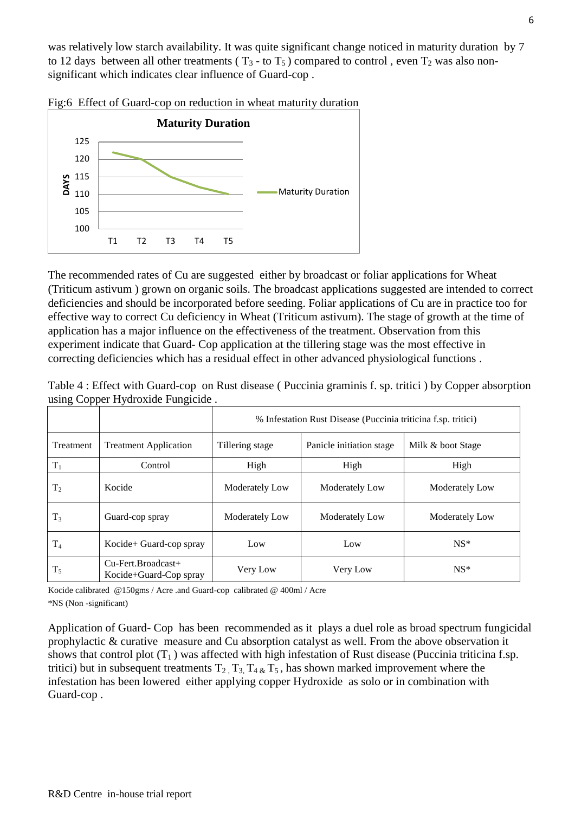was relatively low starch availability. It was quite significant change noticed in maturity duration by 7 to 12 days between all other treatments ( $T_3$  - to  $T_5$ ) compared to control, even  $T_2$  was also nonsignificant which indicates clear influence of Guard-cop .



Fig:6 Effect of Guard-cop on reduction in wheat maturity duration

The recommended rates of Cu are suggested either by broadcast or foliar applications for Wheat (Triticum astivum ) grown on organic soils. The broadcast applications suggested are intended to correct deficiencies and should be incorporated before seeding. Foliar applications of Cu are in practice too for effective way to correct Cu deficiency in Wheat (Triticum astivum). The stage of growth at the time of application has a major influence on the effectiveness of the treatment. Observation from this experiment indicate that Guard- Cop application at the tillering stage was the most effective in correcting deficiencies which has a residual effect in other advanced physiological functions .

| $\mu$ sing Copper Tryuroxiue Fungiciue. |                                                 |                                                               |                          |                   |  |  |  |  |
|-----------------------------------------|-------------------------------------------------|---------------------------------------------------------------|--------------------------|-------------------|--|--|--|--|
|                                         |                                                 | % Infestation Rust Disease (Puccinia triticina f.sp. tritici) |                          |                   |  |  |  |  |
| Treatment                               | <b>Treatment Application</b>                    | Tillering stage                                               | Panicle initiation stage | Milk & boot Stage |  |  |  |  |
| $T_1$                                   | Control                                         | High                                                          | High                     | High              |  |  |  |  |
| $T_2$                                   | Kocide                                          | Moderately Low                                                | Moderately Low           | Moderately Low    |  |  |  |  |
| $T_3$                                   | Guard-cop spray                                 | Moderately Low                                                | Moderately Low           | Moderately Low    |  |  |  |  |
| T <sub>4</sub>                          | Kocide+ Guard-cop spray                         | Low                                                           | Low                      | $NS*$             |  |  |  |  |
| $T_5$                                   | $Cu$ -Fert.Broadcast+<br>Kocide+Guard-Cop spray | Very Low                                                      | Very Low                 | $NS*$             |  |  |  |  |

| Table 4 : Effect with Guard-cop on Rust disease (Puccinia graminis f. sp. tritici) by Copper absorption |  |  |  |  |
|---------------------------------------------------------------------------------------------------------|--|--|--|--|
| using Copper Hydroxide Fungicide.                                                                       |  |  |  |  |

Kocide calibrated @150gms / Acre .and Guard-cop calibrated @ 400ml / Acre \*NS (Non -significant)

Application of Guard- Cop has been recommended as it plays a duel role as broad spectrum fungicidal prophylactic & curative measure and Cu absorption catalyst as well. From the above observation it shows that control plot  $(T_1)$  was affected with high infestation of Rust disease (Puccinia triticina f.sp. tritici) but in subsequent treatments  $T_2$ ,  $T_3$ ,  $T_4$   $\&$   $T_5$ , has shown marked improvement where the infestation has been lowered either applying copper Hydroxide as solo or in combination with Guard-cop .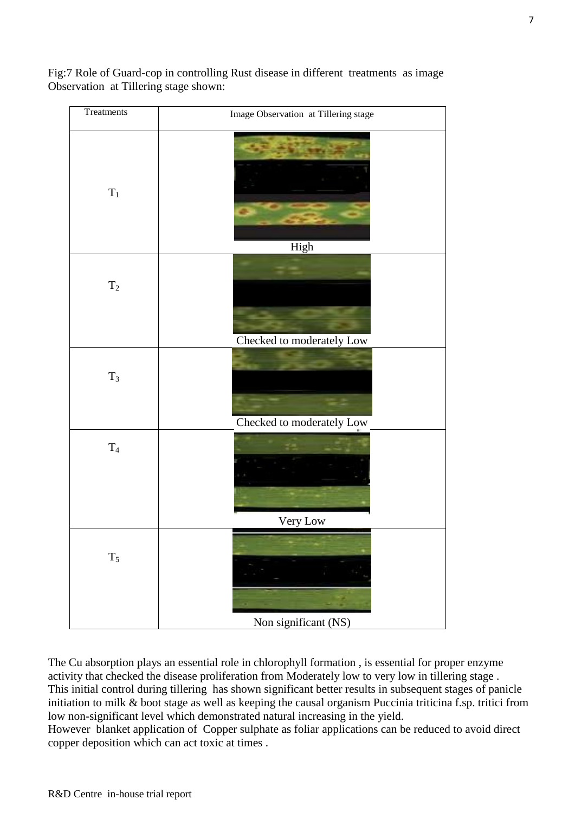Fig:7 Role of Guard-cop in controlling Rust disease in different treatments as image Observation at Tillering stage shown:



The Cu absorption plays an essential role in chlorophyll formation , is essential for proper enzyme activity that checked the disease proliferation from Moderately low to very low in tillering stage . This initial control during tillering has shown significant better results in subsequent stages of panicle initiation to milk & boot stage as well as keeping the causal organism Puccinia triticina f.sp. tritici from low non-significant level which demonstrated natural increasing in the yield.

However blanket application of Copper sulphate as foliar applications can be reduced to avoid direct copper deposition which can act toxic at times .